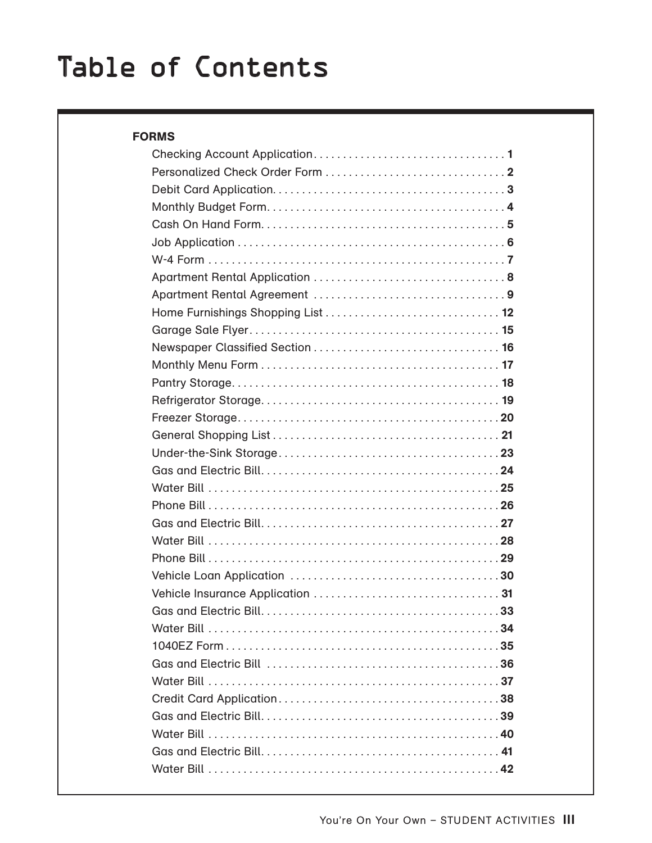| <b>FORMS</b> |  |
|--------------|--|
|              |  |
|              |  |
|              |  |
|              |  |
|              |  |
|              |  |
|              |  |
|              |  |
|              |  |
|              |  |
|              |  |
|              |  |
|              |  |
|              |  |
|              |  |
|              |  |
|              |  |
|              |  |
|              |  |
|              |  |
|              |  |
|              |  |
|              |  |
|              |  |
|              |  |
|              |  |
|              |  |
|              |  |
|              |  |
|              |  |
|              |  |
|              |  |
|              |  |
|              |  |
|              |  |
|              |  |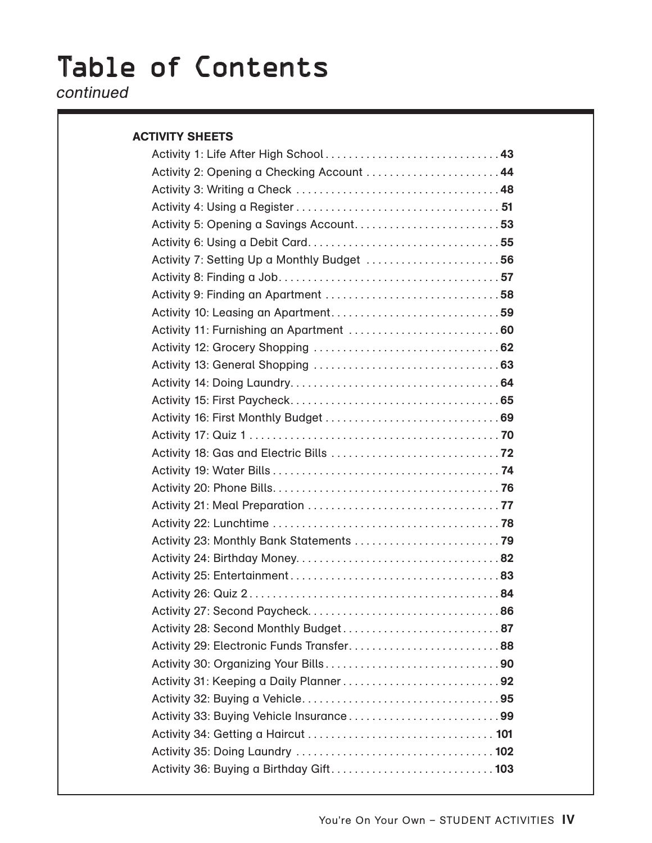### continued

#### ACTIVITY SHEETS

| Activity 2: Opening a Checking Account  44  |
|---------------------------------------------|
|                                             |
|                                             |
| Activity 5: Opening a Savings Account 53    |
|                                             |
| Activity 7: Setting Up a Monthly Budget  56 |
|                                             |
|                                             |
|                                             |
|                                             |
|                                             |
|                                             |
|                                             |
|                                             |
|                                             |
|                                             |
|                                             |
|                                             |
|                                             |
|                                             |
|                                             |
|                                             |
|                                             |
|                                             |
|                                             |
|                                             |
| Activity 28: Second Monthly Budget 87       |
| Activity 29: Electronic Funds Transfer88    |
|                                             |
|                                             |
|                                             |
| Activity 33: Buying Vehicle Insurance99     |
|                                             |
|                                             |
|                                             |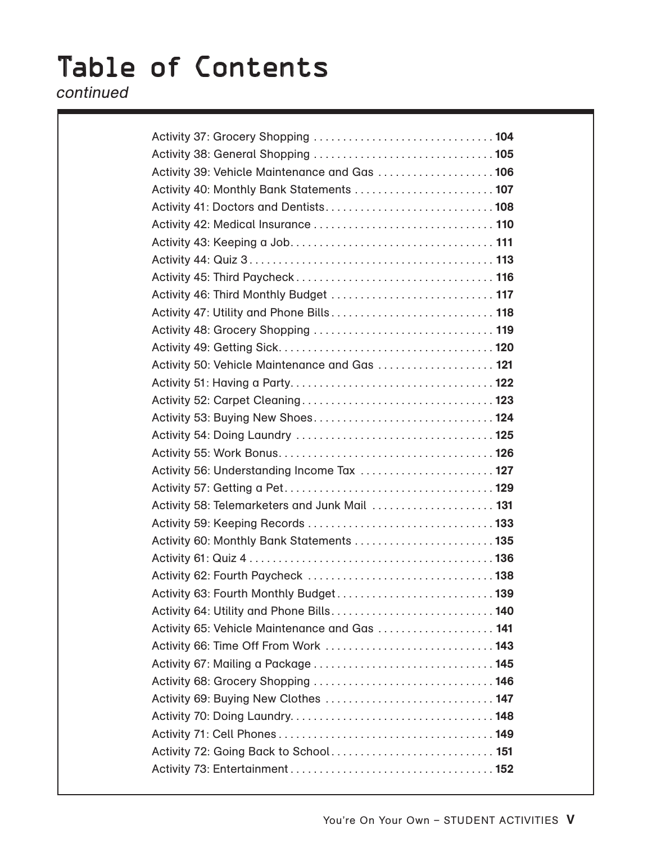continued

| Activity 39: Vehicle Maintenance and Gas  106 |  |
|-----------------------------------------------|--|
| Activity 40: Monthly Bank Statements  107     |  |
|                                               |  |
|                                               |  |
|                                               |  |
|                                               |  |
|                                               |  |
|                                               |  |
|                                               |  |
|                                               |  |
|                                               |  |
| Activity 50: Vehicle Maintenance and Gas  121 |  |
|                                               |  |
|                                               |  |
| Activity 53: Buying New Shoes 124             |  |
|                                               |  |
|                                               |  |
| Activity 56: Understanding Income Tax  127    |  |
|                                               |  |
| Activity 58: Telemarketers and Junk Mail  131 |  |
|                                               |  |
| Activity 60: Monthly Bank Statements  135     |  |
|                                               |  |
|                                               |  |
| Activity 63: Fourth Monthly Budget 139        |  |
| Activity 64: Utility and Phone Bills 140      |  |
| Activity 65: Vehicle Maintenance and Gas  141 |  |
| Activity 66: Time Off From Work  143          |  |
|                                               |  |
| Activity 68: Grocery Shopping  146            |  |
| Activity 69: Buying New Clothes  147          |  |
|                                               |  |
|                                               |  |
|                                               |  |
|                                               |  |
|                                               |  |